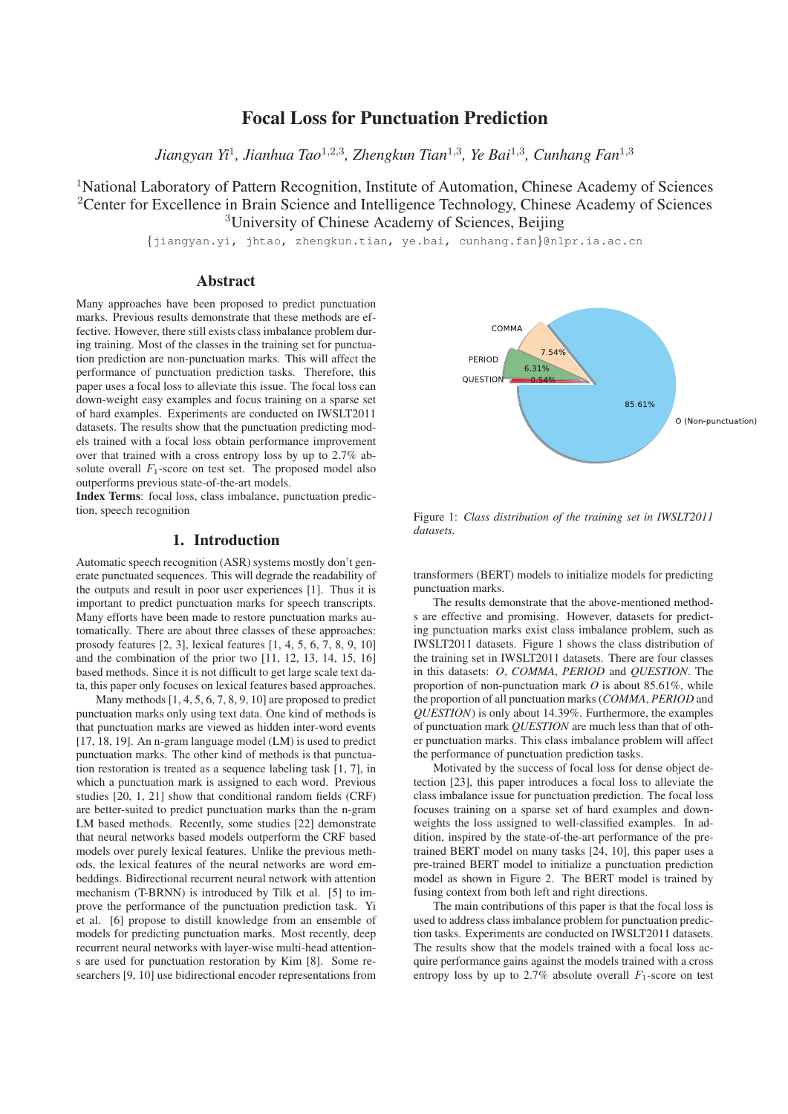# Focal Loss for Punctuation Prediction

*Jiangyan Yi*<sup>1</sup>*, Jianhua Tao*<sup>1</sup>,2,<sup>3</sup>*, Zhengkun Tian*<sup>1</sup>,<sup>3</sup>*, Ye Bai*<sup>1</sup>,<sup>3</sup>*, Cunhang Fan*<sup>1</sup>,<sup>3</sup>

<sup>1</sup>National Laboratory of Pattern Recognition, Institute of Automation, Chinese Academy of Sciences <sup>2</sup>Center for Excellence in Brain Science and Intelligence Technology, Chinese Academy of Sciences <sup>3</sup>University of Chinese Academy of Sciences, Beijing

{jiangyan.yi, jhtao, zhengkun.tian, ye.bai, cunhang.fan}@nlpr.ia.ac.cn

# Abstract

Many approaches have been proposed to predict punctuation marks. Previous results demonstrate that these methods are effective. However, there still exists class imbalance problem during training. Most of the classes in the training set for punctuation prediction are non-punctuation marks. This will affect the performance of punctuation prediction tasks. Therefore, this paper uses a focal loss to alleviate this issue. The focal loss can down-weight easy examples and focus training on a sparse set of hard examples. Experiments are conducted on IWSLT2011 datasets. The results show that the punctuation predicting models trained with a focal loss obtain performance improvement over that trained with a cross entropy loss by up to 2.7% absolute overall  $F_1$ -score on test set. The proposed model also outperforms previous state-of-the-art models.

Index Terms: focal loss, class imbalance, punctuation prediction, speech recognition

## 1. Introduction

Automatic speech recognition (ASR) systems mostly don't generate punctuated sequences. This will degrade the readability of the outputs and result in poor user experiences [1]. Thus it is important to predict punctuation marks for speech transcripts. Many efforts have been made to restore punctuation marks automatically. There are about three classes of these approaches: prosody features [2, 3], lexical features [1, 4, 5, 6, 7, 8, 9, 10] and the combination of the prior two [11, 12, 13, 14, 15, 16] based methods. Since it is not difficult to get large scale text data, this paper only focuses on lexical features based approaches.

Many methods [1, 4, 5, 6, 7, 8, 9, 10] are proposed to predict punctuation marks only using text data. One kind of methods is that punctuation marks are viewed as hidden inter-word events [17, 18, 19]. An n-gram language model (LM) is used to predict punctuation marks. The other kind of methods is that punctuation restoration is treated as a sequence labeling task [1, 7], in which a punctuation mark is assigned to each word. Previous studies [20, 1, 21] show that conditional random fields (CRF) are better-suited to predict punctuation marks than the n-gram LM based methods. Recently, some studies [22] demonstrate that neural networks based models outperform the CRF based models over purely lexical features. Unlike the previous methods, the lexical features of the neural networks are word embeddings. Bidirectional recurrent neural network with attention mechanism (T-BRNN) is introduced by Tilk et al. [5] to improve the performance of the punctuation prediction task. Yi et al. [6] propose to distill knowledge from an ensemble of models for predicting punctuation marks. Most recently, deep recurrent neural networks with layer-wise multi-head attentions are used for punctuation restoration by Kim [8]. Some researchers [9, 10] use bidirectional encoder representations from



Figure 1: *Class distribution of the training set in IWSLT2011 datasets.*

transformers (BERT) models to initialize models for predicting punctuation marks.

The results demonstrate that the above-mentioned methods are effective and promising. However, datasets for predicting punctuation marks exist class imbalance problem, such as IWSLT2011 datasets. Figure 1 shows the class distribution of the training set in IWSLT2011 datasets. There are four classes in this datasets: *O*, *COMMA*, *PERIOD* and *QUESTION*. The proportion of non-punctuation mark *O* is about 85.61%, while the proportion of all punctuation marks (*COMMA*, *PERIOD* and *QUESTION*) is only about 14.39%. Furthermore, the examples of punctuation mark *QUESTION* are much less than that of other punctuation marks. This class imbalance problem will affect the performance of punctuation prediction tasks.

Motivated by the success of focal loss for dense object detection [23], this paper introduces a focal loss to alleviate the class imbalance issue for punctuation prediction. The focal loss focuses training on a sparse set of hard examples and downweights the loss assigned to well-classified examples. In addition, inspired by the state-of-the-art performance of the pretrained BERT model on many tasks [24, 10], this paper uses a pre-trained BERT model to initialize a punctuation prediction model as shown in Figure 2. The BERT model is trained by fusing context from both left and right directions.

The main contributions of this paper is that the focal loss is used to address class imbalance problem for punctuation prediction tasks. Experiments are conducted on IWSLT2011 datasets. The results show that the models trained with a focal loss acquire performance gains against the models trained with a cross entropy loss by up to 2.7% absolute overall  $F_1$ -score on test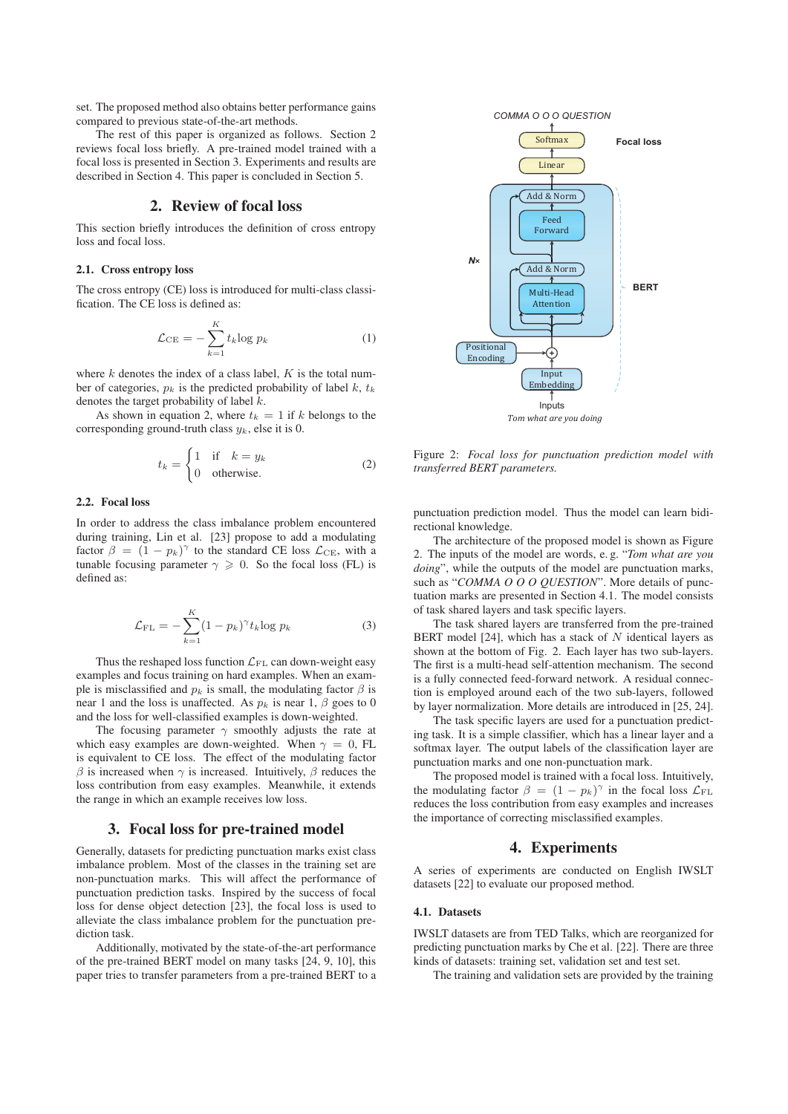set. The proposed method also obtains better performance gains compared to previous state-of-the-art methods.

The rest of this paper is organized as follows. Section 2 reviews focal loss briefly. A pre-trained model trained with a focal loss is presented in Section 3. Experiments and results are described in Section 4. This paper is concluded in Section 5.

# 2. Review of focal loss

This section briefly introduces the definition of cross entropy loss and focal loss.

#### 2.1. Cross entropy loss

The cross entropy (CE) loss is introduced for multi-class classification. The CE loss is defined as:

$$
\mathcal{L}_{\rm CE} = -\sum_{k=1}^{K} t_k \log p_k \tag{1}
$$

where  $k$  denotes the index of a class label,  $K$  is the total number of categories,  $p_k$  is the predicted probability of label k,  $t_k$ denotes the target probability of label  $k$ .

As shown in equation 2, where  $t_k = 1$  if k belongs to the corresponding ground-truth class  $y_k$ , else it is 0.

$$
t_k = \begin{cases} 1 & \text{if } k = y_k \\ 0 & \text{otherwise.} \end{cases}
$$
 (2)

#### 2.2. Focal loss

In order to address the class imbalance problem encountered during training, Lin et al. [23] propose to add a modulating factor  $\beta = (1 - p_k)^{\gamma}$  to the standard CE loss  $\mathcal{L}_{CE}$ , with a tunable focusing parameter  $\gamma > 0$ . So the focal loss (FI) is tunable focusing parameter  $\gamma \geqslant 0$ . So the focal loss (FL) is defined as: defined as:

$$
\mathcal{L}_{\mathrm{FL}} = -\sum_{k=1}^{K} (1 - p_k)^{\gamma} t_k \log p_k \tag{3}
$$

Thus the reshaped loss function  $\mathcal{L}_{\mathrm{FL}}$  can down-weight easy examples and focus training on hard examples. When an example is misclassified and  $p_k$  is small, the modulating factor  $\beta$  is near 1 and the loss is unaffected. As  $p_k$  is near 1,  $\beta$  goes to 0 and the loss for well-classified examples is down-weighted.

The focusing parameter  $\gamma$  smoothly adjusts the rate at which easy examples are down-weighted. When  $\gamma = 0$ , FL is equivalent to CE loss. The effect of the modulating factor  $β$  is increased when  $γ$  is increased. Intuitively,  $β$  reduces the loss contribution from easy examples. Meanwhile, it extends the range in which an example receives low loss.

# 3. Focal loss for pre-trained model

Generally, datasets for predicting punctuation marks exist class imbalance problem. Most of the classes in the training set are non-punctuation marks. This will affect the performance of punctuation prediction tasks. Inspired by the success of focal loss for dense object detection [23], the focal loss is used to alleviate the class imbalance problem for the punctuation prediction task.

Additionally, motivated by the state-of-the-art performance of the pre-trained BERT model on many tasks [24, 9, 10], this paper tries to transfer parameters from a pre-trained BERT to a



Figure 2: *Focal loss for punctuation prediction model with transferred BERT parameters.*

punctuation prediction model. Thus the model can learn bidirectional knowledge.

The architecture of the proposed model is shown as Figure 2. The inputs of the model are words, e. g. "*Tom what are you doing*", while the outputs of the model are punctuation marks, such as "*COMMA O O O QUESTION*". More details of punctuation marks are presented in Section 4.1. The model consists of task shared layers and task specific layers.

The task shared layers are transferred from the pre-trained BERT model [24], which has a stack of  $N$  identical layers as shown at the bottom of Fig. 2. Each layer has two sub-layers. The first is a multi-head self-attention mechanism. The second is a fully connected feed-forward network. A residual connection is employed around each of the two sub-layers, followed by layer normalization. More details are introduced in [25, 24].

The task specific layers are used for a punctuation predicting task. It is a simple classifier, which has a linear layer and a softmax layer. The output labels of the classification layer are punctuation marks and one non-punctuation mark.

The proposed model is trained with a focal loss. Intuitively, the modulating factor  $\beta = (1 - p_k)^{\gamma}$  in the focal loss  $\mathcal{L}_{FL}$ <br>reduces the loss contribution from easy examples and increases reduces the loss contribution from easy examples and increases the importance of correcting misclassified examples.

# 4. Experiments

A series of experiments are conducted on English IWSLT datasets [22] to evaluate our proposed method.

#### 4.1. Datasets

IWSLT datasets are from TED Talks, which are reorganized for predicting punctuation marks by Che et al. [22]. There are three kinds of datasets: training set, validation set and test set.

The training and validation sets are provided by the training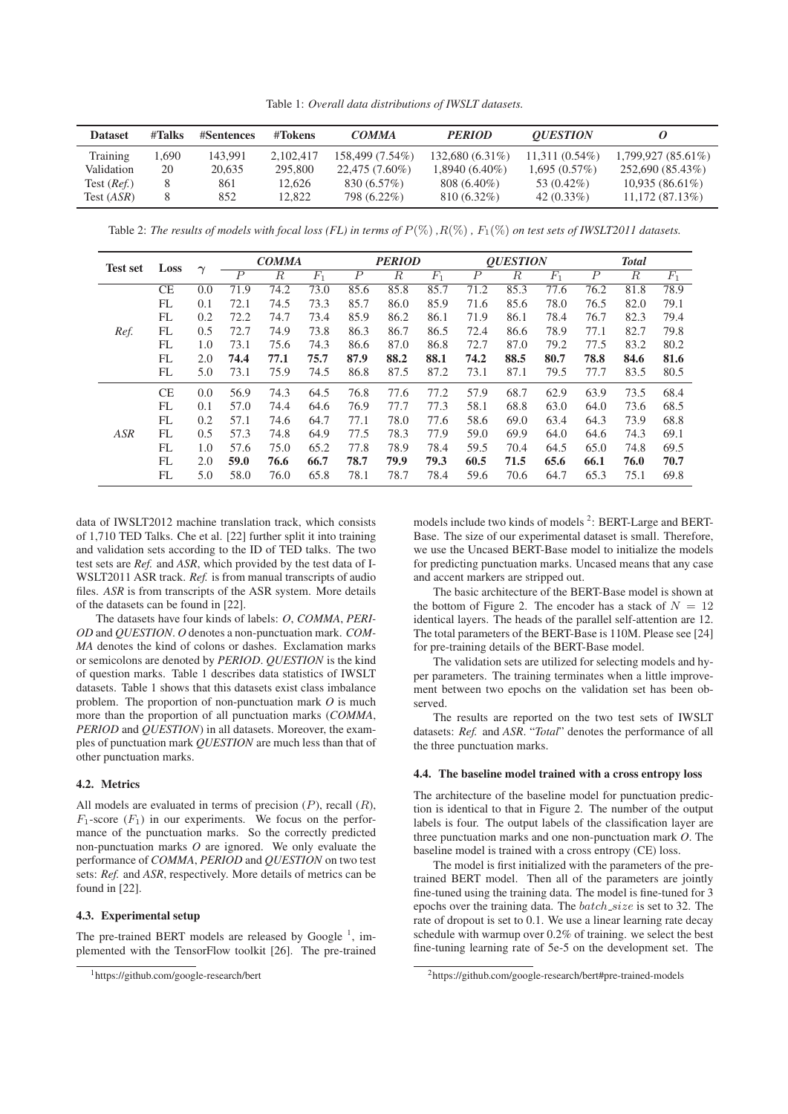Table 1: *Overall data distributions of IWSLT datasets.*

| <b>Dataset</b> | #Talks | #Sentences | #Tokens   | <b>COMMA</b>     | <b>PERIOD</b>     | <i><b>OUESTION</b></i> |                   |
|----------------|--------|------------|-----------|------------------|-------------------|------------------------|-------------------|
| Training       | 1.690  | 143.991    | 2.102.417 | 158.499 (7.54%)  | $132.680(6.31\%)$ | $11.311(0.54\%)$       | 1.799.927(85.61%) |
| Validation     | 20     | 20.635     | 295,800   | $22.475(7.60\%)$ | $1.8940(6.40\%)$  | 1.695(0.57%)           | 252,690 (85.43%)  |
| Test $(Ref.)$  |        | 861        | 12.626    | 830 (6.57%)      | $808(6.40\%)$     | 53 (0.42\%)            | 10,935(86.61%)    |
| Test (ASR)     |        | 852        | 12.822    | 798 (6.22%)      | $810(6.32\%)$     | 42 $(0.33\%)$          | 11,172(87.13%)    |

Table 2: *The results of models with focal loss (FL) in terms of*  $P(\%)$ ,  $R(\%)$ ,  $F_1(\%)$  *on test sets of IWSLT2011 datasets.* 

| <b>Test set</b> | Loss      |                             | <b>COMMA</b>   |      | <b>PERIOD</b> |                  |                  | <b>OUESTION</b> |      |      | <b>Total</b> |                  |                  |       |
|-----------------|-----------|-----------------------------|----------------|------|---------------|------------------|------------------|-----------------|------|------|--------------|------------------|------------------|-------|
|                 |           | $\scriptstyle\mathtt{\sim}$ | $\overline{P}$ | R    | $F_1$         | $\boldsymbol{P}$ | $\boldsymbol{R}$ | $F_1$           | Р    | R    | $F_1$        | $\boldsymbol{P}$ | $\boldsymbol{R}$ | $F_1$ |
| Ref.            | CE        | 0.0                         | 71.9           | 74.2 | 73.0          | 85.6             | 85.8             | 85.7            | 71.2 | 85.3 | 77.6         | 76.2             | 81.8             | 78.9  |
|                 | FL        | 0.1                         | 72.1           | 74.5 | 73.3          | 85.7             | 86.0             | 85.9            | 71.6 | 85.6 | 78.0         | 76.5             | 82.0             | 79.1  |
|                 | FL        | 0.2                         | 72.2           | 74.7 | 73.4          | 85.9             | 86.2             | 86.1            | 71.9 | 86.1 | 78.4         | 76.7             | 82.3             | 79.4  |
|                 | FL        | 0.5                         | 72.7           | 74.9 | 73.8          | 86.3             | 86.7             | 86.5            | 72.4 | 86.6 | 78.9         | 77.1             | 82.7             | 79.8  |
|                 | FL        | 1.0                         | 73.1           | 75.6 | 74.3          | 86.6             | 87.0             | 86.8            | 72.7 | 87.0 | 79.2         | 77.5             | 83.2             | 80.2  |
|                 | FL        | 2.0                         | 74.4           | 77.1 | 75.7          | 87.9             | 88.2             | 88.1            | 74.2 | 88.5 | 80.7         | 78.8             | 84.6             | 81.6  |
|                 | FL        | 5.0                         | 73.1           | 75.9 | 74.5          | 86.8             | 87.5             | 87.2            | 73.1 | 87.1 | 79.5         | 77.7             | 83.5             | 80.5  |
| <b>ASR</b>      | <b>CE</b> | 0.0                         | 56.9           | 74.3 | 64.5          | 76.8             | 77.6             | 77.2            | 57.9 | 68.7 | 62.9         | 63.9             | 73.5             | 68.4  |
|                 | FL        | 0.1                         | 57.0           | 74.4 | 64.6          | 76.9             | 77.7             | 77.3            | 58.1 | 68.8 | 63.0         | 64.0             | 73.6             | 68.5  |
|                 | FL        | 0.2                         | 57.1           | 74.6 | 64.7          | 77.1             | 78.0             | 77.6            | 58.6 | 69.0 | 63.4         | 64.3             | 73.9             | 68.8  |
|                 | FL        | 0.5                         | 57.3           | 74.8 | 64.9          | 77.5             | 78.3             | 77.9            | 59.0 | 69.9 | 64.0         | 64.6             | 74.3             | 69.1  |
|                 | FL        | 1.0                         | 57.6           | 75.0 | 65.2          | 77.8             | 78.9             | 78.4            | 59.5 | 70.4 | 64.5         | 65.0             | 74.8             | 69.5  |
|                 | FL        | 2.0                         | 59.0           | 76.6 | 66.7          | 78.7             | 79.9             | 79.3            | 60.5 | 71.5 | 65.6         | 66.1             | 76.0             | 70.7  |
|                 | FL        | 5.0                         | 58.0           | 76.0 | 65.8          | 78.1             | 78.7             | 78.4            | 59.6 | 70.6 | 64.7         | 65.3             | 75.1             | 69.8  |

data of IWSLT2012 machine translation track, which consists of 1,710 TED Talks. Che et al. [22] further split it into training and validation sets according to the ID of TED talks. The two test sets are *Ref.* and *ASR*, which provided by the test data of I-WSLT2011 ASR track. *Ref.* is from manual transcripts of audio files. *ASR* is from transcripts of the ASR system. More details of the datasets can be found in [22].

The datasets have four kinds of labels: *O*, *COMMA*, *PERI-OD* and *QUESTION*. *O* denotes a non-punctuation mark. *COM-MA* denotes the kind of colons or dashes. Exclamation marks or semicolons are denoted by *PERIOD*. *QUESTION* is the kind of question marks. Table 1 describes data statistics of IWSLT datasets. Table 1 shows that this datasets exist class imbalance problem. The proportion of non-punctuation mark *O* is much more than the proportion of all punctuation marks (*COMMA*, *PERIOD* and *QUESTION*) in all datasets. Moreover, the examples of punctuation mark *QUESTION* are much less than that of other punctuation marks.

## 4.2. Metrics

All models are evaluated in terms of precision  $(P)$ , recall  $(R)$ ,  $F_1$ -score  $(F_1)$  in our experiments. We focus on the performance of the punctuation marks. So the correctly predicted non-punctuation marks *O* are ignored. We only evaluate the performance of *COMMA*, *PERIOD* and *QUESTION* on two test sets: *Ref.* and *ASR*, respectively. More details of metrics can be found in [22].

#### 4.3. Experimental setup

The pre-trained BERT models are released by Google<sup>1</sup>, implemented with the TensorFlow toolkit [26]. The pre-trained

models include two kinds of models<sup>2</sup>: BERT-Large and BERT-Base. The size of our experimental dataset is small. Therefore, we use the Uncased BERT-Base model to initialize the models for predicting punctuation marks. Uncased means that any case and accent markers are stripped out.

The basic architecture of the BERT-Base model is shown at the bottom of Figure 2. The encoder has a stack of  $N = 12$ identical layers. The heads of the parallel self-attention are 12. The total parameters of the BERT-Base is 110M. Please see [24] for pre-training details of the BERT-Base model.

The validation sets are utilized for selecting models and hyper parameters. The training terminates when a little improvement between two epochs on the validation set has been observed.

The results are reported on the two test sets of IWSLT datasets: *Ref.* and *ASR*. "*Total*" denotes the performance of all the three punctuation marks.

## 4.4. The baseline model trained with a cross entropy loss

The architecture of the baseline model for punctuation prediction is identical to that in Figure 2. The number of the output labels is four. The output labels of the classification layer are three punctuation marks and one non-punctuation mark *O*. The baseline model is trained with a cross entropy (CE) loss.

The model is first initialized with the parameters of the pretrained BERT model. Then all of the parameters are jointly fine-tuned using the training data. The model is fine-tuned for 3 epochs over the training data. The  $batch\_size$  is set to 32. The rate of dropout is set to 0.1. We use a linear learning rate decay schedule with warmup over 0.2% of training. we select the best fine-tuning learning rate of 5e-5 on the development set. The

<sup>1</sup>https://github.com/google-research/bert

<sup>2</sup>https://github.com/google-research/bert#pre-trained-models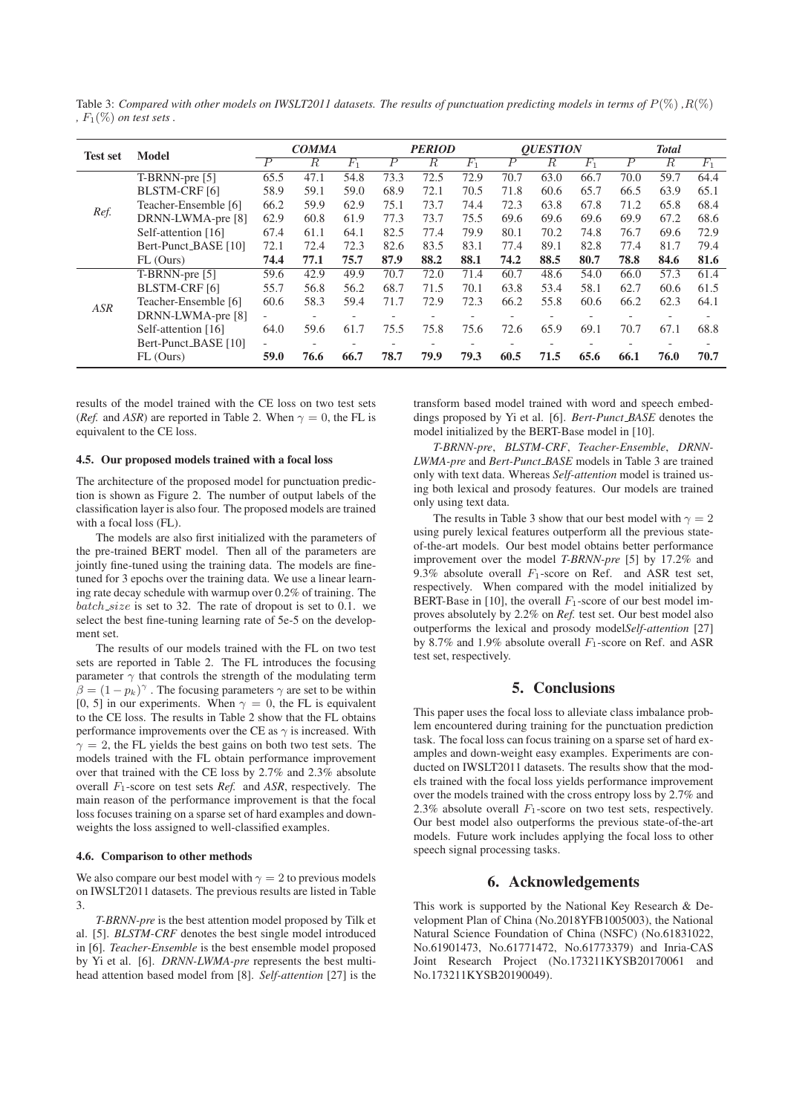Table 3: *Compared with other models on IWSLT2011 datasets. The results of punctuation predicting models in terms of*  $P(\%)$ ,  $R(\%)$ *,*  $F_1(\%)$  *on test sets*.

| <b>Test set</b> | <b>Model</b>         | <b>COMMA</b>             |                          |         | <b>PERIOD</b>    |                          |                          | <b>OUESTION</b>          |      |         | <b>Total</b>   |                  |       |
|-----------------|----------------------|--------------------------|--------------------------|---------|------------------|--------------------------|--------------------------|--------------------------|------|---------|----------------|------------------|-------|
|                 |                      | $\overline{P}$           | R.                       | $F_{1}$ | $\boldsymbol{P}$ | R.                       | $F_1$                    | $\overline{P}$           | R.   | $F_{1}$ | $\overline{P}$ | $\boldsymbol{R}$ | $F_1$ |
| Ref.            | T-BRNN-pre [5]       | 65.5                     | 47.1                     | 54.8    | 73.3             | 72.5                     | 72.9                     | 70.7                     | 63.0 | 66.7    | 70.0           | 59.7             | 64.4  |
|                 | <b>BLSTM-CRF</b> [6] | 58.9                     | 59.1                     | 59.0    | 68.9             | 72.1                     | 70.5                     | 71.8                     | 60.6 | 65.7    | 66.5           | 63.9             | 65.1  |
|                 | Teacher-Ensemble [6] | 66.2                     | 59.9                     | 62.9    | 75.1             | 73.7                     | 74.4                     | 72.3                     | 63.8 | 67.8    | 71.2           | 65.8             | 68.4  |
|                 | DRNN-LWMA-pre [8]    | 62.9                     | 60.8                     | 61.9    | 77.3             | 73.7                     | 75.5                     | 69.6                     | 69.6 | 69.6    | 69.9           | 67.2             | 68.6  |
|                 | Self-attention [16]  | 67.4                     | 61.1                     | 64.1    | 82.5             | 77.4                     | 79.9                     | 80.1                     | 70.2 | 74.8    | 76.7           | 69.6             | 72.9  |
|                 | Bert-Punct_BASE [10] | 72.1                     | 72.4                     | 72.3    | 82.6             | 83.5                     | 83.1                     | 77.4                     | 89.1 | 82.8    | 77.4           | 81.7             | 79.4  |
|                 | FL (Ours)            | 74.4                     | 77.1                     | 75.7    | 87.9             | 88.2                     | 88.1                     | 74.2                     | 88.5 | 80.7    | 78.8           | 84.6             | 81.6  |
| <b>ASR</b>      | T-BRNN-pre [5]       | 59.6                     | 42.9                     | 49.9    | 70.7             | 72.0                     | 71.4                     | 60.7                     | 48.6 | 54.0    | 66.0           | 57.3             | 61.4  |
|                 | <b>BLSTM-CRF</b> [6] | 55.7                     | 56.8                     | 56.2    | 68.7             | 71.5                     | 70.1                     | 63.8                     | 53.4 | 58.1    | 62.7           | 60.6             | 61.5  |
|                 | Teacher-Ensemble [6] | 60.6                     | 58.3                     | 59.4    | 71.7             | 72.9                     | 72.3                     | 66.2                     | 55.8 | 60.6    | 66.2           | 62.3             | 64.1  |
|                 | DRNN-LWMA-pre [8]    |                          |                          |         |                  |                          |                          |                          |      |         |                |                  |       |
|                 | Self-attention [16]  | 64.0                     | 59.6                     | 61.7    | 75.5             | 75.8                     | 75.6                     | 72.6                     | 65.9 | 69.1    | 70.7           | 67.1             | 68.8  |
|                 | Bert-Punct_BASE [10] | $\overline{\phantom{0}}$ | $\overline{\phantom{a}}$ |         |                  | $\overline{\phantom{a}}$ | $\overline{\phantom{0}}$ | $\overline{\phantom{0}}$ |      |         |                |                  |       |
|                 | FL (Ours)            | 59.0                     | 76.6                     | 66.7    | 78.7             | 79.9                     | 79.3                     | 60.5                     | 71.5 | 65.6    | 66.1           | 76.0             | 70.7  |

results of the model trained with the CE loss on two test sets (*Ref.* and *ASR*) are reported in Table 2. When  $\gamma = 0$ , the FL is equivalent to the CE loss.

#### 4.5. Our proposed models trained with a focal loss

The architecture of the proposed model for punctuation prediction is shown as Figure 2. The number of output labels of the classification layer is also four. The proposed models are trained with a focal loss (FL).

The models are also first initialized with the parameters of the pre-trained BERT model. Then all of the parameters are jointly fine-tuned using the training data. The models are finetuned for 3 epochs over the training data. We use a linear learning rate decay schedule with warmup over 0.2% of training. The  $batch_size$  is set to 32. The rate of dropout is set to 0.1. we select the best fine-tuning learning rate of 5e-5 on the development set.

The results of our models trained with the FL on two test sets are reported in Table 2. The FL introduces the focusing parameter  $\gamma$  that controls the strength of the modulating term  $\beta = (1 - p_k)^{\gamma}$ . The focusing parameters  $\gamma$  are set to be within  $[0, 5]$  in our experiments. When  $\gamma = 0$  the EL is equivalent [0, 5] in our experiments. When  $\gamma = 0$ , the FL is equivalent to the CE loss. The results in Table 2 show that the FL obtains performance improvements over the CE as  $\gamma$  is increased. With  $\gamma = 2$ , the FL yields the best gains on both two test sets. The models trained with the FL obtain performance improvement over that trained with the CE loss by 2.7% and 2.3% absolute overall F1-score on test sets *Ref.* and *ASR*, respectively. The main reason of the performance improvement is that the focal loss focuses training on a sparse set of hard examples and downweights the loss assigned to well-classified examples.

#### 4.6. Comparison to other methods

We also compare our best model with  $\gamma = 2$  to previous models on IWSLT2011 datasets. The previous results are listed in Table 3.

*T-BRNN-pre* is the best attention model proposed by Tilk et al. [5]. *BLSTM-CRF* denotes the best single model introduced in [6]. *Teacher-Ensemble* is the best ensemble model proposed by Yi et al. [6]. *DRNN-LWMA-pre* represents the best multihead attention based model from [8]. *Self-attention* [27] is the transform based model trained with word and speech embeddings proposed by Yi et al. [6]. *Bert-Punct BASE* denotes the model initialized by the BERT-Base model in [10].

*T-BRNN-pre*, *BLSTM-CRF*, *Teacher-Ensemble*, *DRNN-LWMA-pre* and *Bert-Punct BASE* models in Table 3 are trained only with text data. Whereas *Self-attention* model is trained using both lexical and prosody features. Our models are trained only using text data.

The results in Table 3 show that our best model with  $\gamma = 2$ using purely lexical features outperform all the previous stateof-the-art models. Our best model obtains better performance improvement over the model *T-BRNN-pre* [5] by 17.2% and 9.3% absolute overall  $F_1$ -score on Ref. and ASR test set, respectively. When compared with the model initialized by BERT-Base in [10], the overall  $F_1$ -score of our best model improves absolutely by 2.2% on *Ref.* test set. Our best model also outperforms the lexical and prosody model*Self-attention* [27] by 8.7% and 1.9% absolute overall  $F_1$ -score on Ref. and ASR test set, respectively.

# 5. Conclusions

This paper uses the focal loss to alleviate class imbalance problem encountered during training for the punctuation prediction task. The focal loss can focus training on a sparse set of hard examples and down-weight easy examples. Experiments are conducted on IWSLT2011 datasets. The results show that the models trained with the focal loss yields performance improvement over the models trained with the cross entropy loss by 2.7% and 2.3% absolute overall  $F_1$ -score on two test sets, respectively. Our best model also outperforms the previous state-of-the-art models. Future work includes applying the focal loss to other speech signal processing tasks.

#### 6. Acknowledgements

This work is supported by the National Key Research & Development Plan of China (No.2018YFB1005003), the National Natural Science Foundation of China (NSFC) (No.61831022, No.61901473, No.61771472, No.61773379) and Inria-CAS Joint Research Project (No.173211KYSB20170061 and No.173211KYSB20190049).